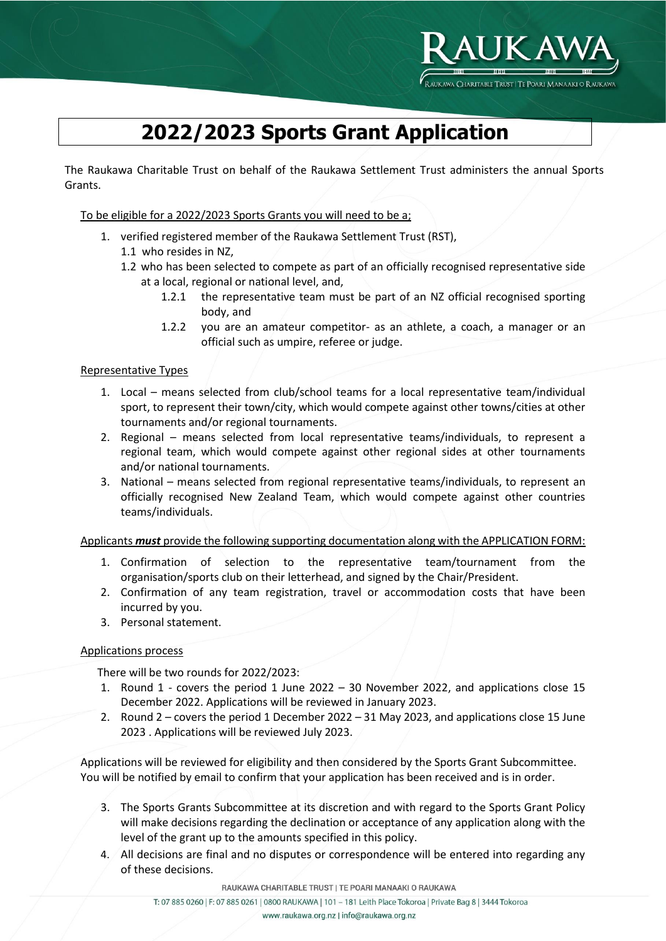

# **2022/2023 Sports Grant Application**

The Raukawa Charitable Trust on behalf of the Raukawa Settlement Trust administers the annual Sports Grants.

To be eligible for a 2022/2023 Sports Grants you will need to be a;

- 1. verified registered member of the Raukawa Settlement Trust (RST),
	- 1.1 who resides in NZ,
	- 1.2 who has been selected to compete as part of an officially recognised representative side at a local, regional or national level, and,
		- 1.2.1 the representative team must be part of an NZ official recognised sporting body, and
		- 1.2.2 you are an amateur competitor- as an athlete, a coach, a manager or an official such as umpire, referee or judge.

#### Representative Types

- 1. Local means selected from club/school teams for a local representative team/individual sport, to represent their town/city, which would compete against other towns/cities at other tournaments and/or regional tournaments.
- 2. Regional means selected from local representative teams/individuals, to represent a regional team, which would compete against other regional sides at other tournaments and/or national tournaments.
- 3. National means selected from regional representative teams/individuals, to represent an officially recognised New Zealand Team, which would compete against other countries teams/individuals.

#### Applicants *must* provide the following supporting documentation along with the APPLICATION FORM:

- 1. Confirmation of selection to the representative team/tournament from the organisation/sports club on their letterhead, and signed by the Chair/President.
- 2. Confirmation of any team registration, travel or accommodation costs that have been incurred by you.
- 3. Personal statement.

#### Applications process

There will be two rounds for 2022/2023:

- 1. Round 1 covers the period 1 June 2022 30 November 2022, and applications close 15 December 2022. Applications will be reviewed in January 2023.
- 2. Round 2 covers the period 1 December 2022 31 May 2023, and applications close 15 June 2023 . Applications will be reviewed July 2023.

Applications will be reviewed for eligibility and then considered by the Sports Grant Subcommittee. You will be notified by email to confirm that your application has been received and is in order.

- 3. The Sports Grants Subcommittee at its discretion and with regard to the Sports Grant Policy will make decisions regarding the declination or acceptance of any application along with the level of the grant up to the amounts specified in this policy.
- 4. All decisions are final and no disputes or correspondence will be entered into regarding any of these decisions.

RAUKAWA CHARITABLE TRUST | TE POARI MANAAKI O RAUKAWA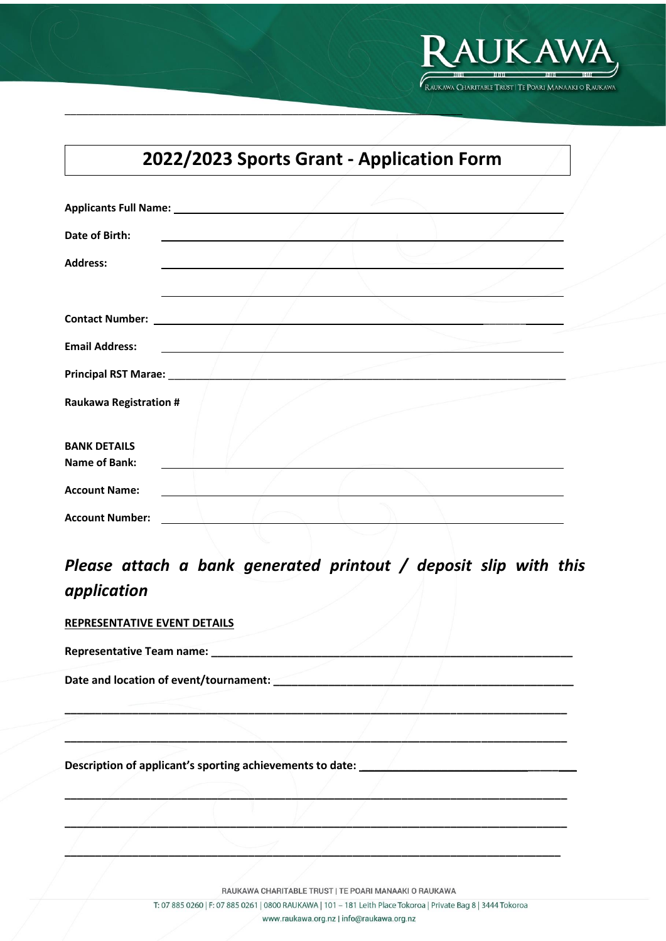

# **2022/2023 Sports Grant - Application Form**

 $\frac{1}{2}$  ,  $\frac{1}{2}$  ,  $\frac{1}{2}$  ,  $\frac{1}{2}$  ,  $\frac{1}{2}$  ,  $\frac{1}{2}$  ,  $\frac{1}{2}$  ,  $\frac{1}{2}$  ,  $\frac{1}{2}$  ,  $\frac{1}{2}$  ,  $\frac{1}{2}$  ,  $\frac{1}{2}$  ,  $\frac{1}{2}$  ,  $\frac{1}{2}$  ,  $\frac{1}{2}$  ,  $\frac{1}{2}$  ,  $\frac{1}{2}$  ,  $\frac{1}{2}$  ,  $\frac{1$ 

| Date of Birth:                   |  |  |
|----------------------------------|--|--|
| <b>Address:</b>                  |  |  |
|                                  |  |  |
| <b>Contact Number:</b>           |  |  |
| <b>Email Address:</b>            |  |  |
| <b>Principal RST Marae:</b> 1988 |  |  |
| <b>Raukawa Registration #</b>    |  |  |
| <b>BANK DETAILS</b>              |  |  |
| <b>Name of Bank:</b>             |  |  |
| <b>Account Name:</b>             |  |  |
| <b>Account Number:</b>           |  |  |

## *Please attach a bank generated printout / deposit slip with this application*

**\_\_\_\_\_\_\_\_\_\_\_\_\_\_\_\_\_\_\_\_\_\_\_\_\_\_\_\_\_\_\_\_\_\_\_\_\_\_\_\_\_\_\_\_\_\_\_\_\_\_\_\_\_\_\_\_\_\_\_\_\_\_\_\_\_\_\_\_\_\_\_\_\_\_\_\_\_\_\_\_\_\_**

**\_\_\_\_\_\_\_\_\_\_\_\_\_\_\_\_\_\_\_\_\_\_\_\_\_\_\_\_\_\_\_\_\_\_\_\_\_\_\_\_\_\_\_\_\_\_\_\_\_\_\_\_\_\_\_\_\_\_\_\_\_\_\_\_\_\_\_\_\_\_\_\_\_\_\_\_\_\_\_\_\_\_**

**\_\_\_\_\_\_\_\_\_\_\_\_\_\_\_\_\_\_\_\_\_\_\_\_\_\_\_\_\_\_\_\_\_\_\_\_\_\_\_\_\_\_\_\_\_\_\_\_\_\_\_\_\_\_\_\_\_\_\_\_\_\_\_\_\_\_\_\_\_\_\_\_\_\_\_\_\_\_\_\_\_\_**

**\_\_\_\_\_\_\_\_\_\_\_\_\_\_\_\_\_\_\_\_\_\_\_\_\_\_\_\_\_\_\_\_\_\_\_\_\_\_\_\_\_\_\_\_\_\_\_\_\_\_\_\_\_\_\_\_\_\_\_\_\_\_\_\_\_\_\_\_\_\_\_\_\_\_\_\_\_\_\_\_\_\_**

**\_\_\_\_\_\_\_\_\_\_\_\_\_\_\_\_\_\_\_\_\_\_\_\_\_\_\_\_\_\_\_\_\_\_\_\_\_\_\_\_\_\_\_\_\_\_\_\_\_\_\_\_\_\_\_\_\_\_\_\_\_\_\_\_\_\_\_\_\_\_\_\_\_\_\_\_\_\_\_\_\_**

#### **REPRESENTATIVE EVENT DETAILS**

**Representative Team name: \_\_\_\_\_\_\_\_\_\_\_\_\_\_\_\_\_\_\_\_\_\_\_\_\_\_\_\_\_\_\_\_\_\_\_\_\_\_\_\_\_\_\_\_\_\_\_\_\_\_\_\_\_\_\_\_\_\_\_**

**Date and location of event/tournament: \_\_\_\_\_\_\_\_\_\_\_\_\_\_\_\_\_\_\_\_\_\_\_\_\_\_\_\_\_\_\_\_\_\_\_\_\_\_\_\_\_\_\_\_\_\_\_\_\_**

**Description of applicant's sporting achievements to date: \_\_\_\_\_\_\_\_\_\_\_\_\_\_\_\_\_\_\_\_\_\_\_\_\_\_\_\_\_\_\_\_\_\_\_**

RAUKAWA CHARITABLE TRUST | TE POARI MANAAKI O RAUKAWA

T: 07 885 0260 | F: 07 885 0261 | 0800 RAUKAWA | 101 - 181 Leith Place Tokoroa | Private Bag 8 | 3444 Tokoroa www.raukawa.org.nz | info@raukawa.org.nz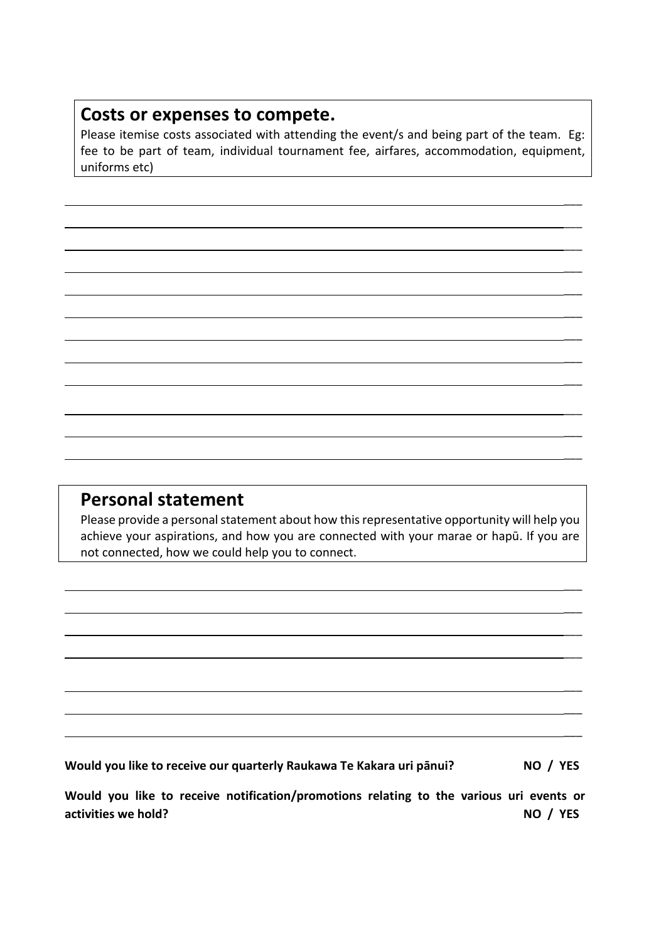### **Costs or expenses to compete.**

Please itemise costs associated with attending the event/s and being part of the team. Eg: fee to be part of team, individual tournament fee, airfares, accommodation, equipment, uniforms etc)

 $\overline{\phantom{a}}$ 

 $\overline{\phantom{a}}$ 

 $\overline{\phantom{a}}$ 

 $\overline{\phantom{a}}$ 

 $\overline{\phantom{a}}$ 

 $\overline{\phantom{a}}$ 

 $\overline{\phantom{a}}$ 

 $\overline{\phantom{a}}$ 

\_\_\_

 $\overline{\phantom{a}}$ 

 $\overline{\phantom{a}}$ 

 $\overline{\phantom{a}}$ 

 $\overline{\phantom{a}}$ 

 $\overline{\phantom{a}}$ 

 $\overline{\phantom{a}}$ 

 $\overline{\phantom{a}}$ 

 $\overline{\phantom{a}}$ 

 $\overline{\phantom{a}}$ 

 $\overline{\phantom{a}}$ 

### **Personal statement**

Please provide a personal statement about how this representative opportunity will help you achieve your aspirations, and how you are connected with your marae or hapū. If you are not connected, how we could help you to connect.

**Would you like to receive our quarterly Raukawa Te Kakara uri pānui? NO / YES**

**Would you like to receive notification/promotions relating to the various uri events or activities we hold?** NO / YES